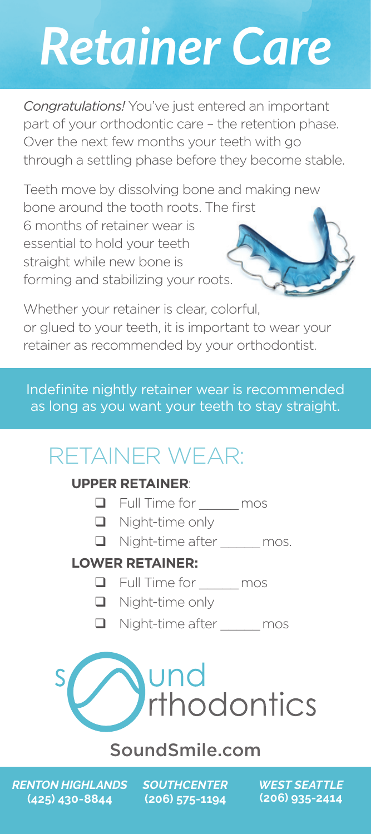# *Retainer Care*

*Congratulations!* You've just entered an important part of your orthodontic care – the retention phase. Over the next few months your teeth with go through a settling phase before they become stable.

Teeth move by dissolving bone and making new bone around the tooth roots. The first

6 months of retainer wear is essential to hold your teeth straight while new bone is forming and stabilizing your roots.

Whether your retainer is clear, colorful, or glued to your teeth, it is important to wear your retainer as recommended by your orthodontist.

Indefinite nightly retainer wear is recommended as long as you want your teeth to stay straight.

# RETAINER WEAR:

#### **UPPER RETAINER**:

- **D** Full Time for \_\_\_\_mos
- **Q** Night-time only
- □ Night-time after mos.

#### **LOWER RETAINER:**

- Full Time for \_\_\_\_\_ mos
- **Night-time only**
- Night-time after mos



### SoundSmile.com

*RENTON HIGHLANDS* **(425) 430-8844**

*SOUTHCENTER* **(206) 575-1194**

*WEST SEATTLE* **(206) 935-2414**